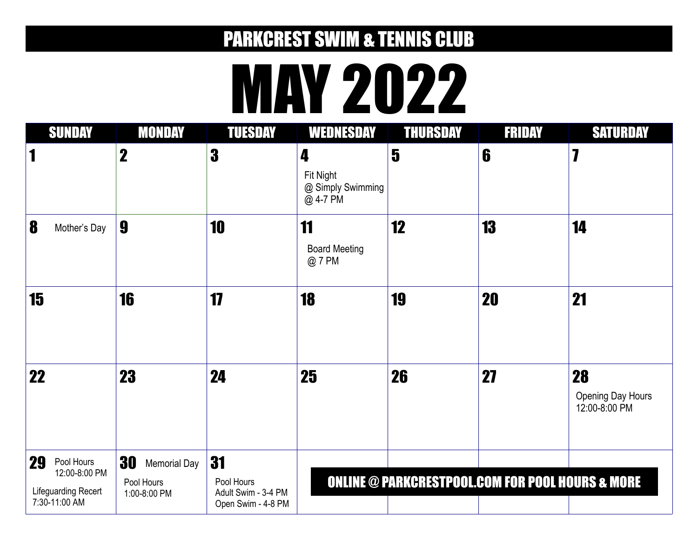### MAY 2022

| <b>SUNDAY</b>                                                             | <b>MONDAY</b>                                           | <b>TUESDAY</b>                                                | <b>WEDNESDAY</b>                                       | <b>THURSDAY</b> | <b>FRIDAY</b>                                               | <b>SATURDAY</b>                                 |
|---------------------------------------------------------------------------|---------------------------------------------------------|---------------------------------------------------------------|--------------------------------------------------------|-----------------|-------------------------------------------------------------|-------------------------------------------------|
| 1                                                                         | $\boldsymbol{2}$                                        | 3                                                             | 4<br><b>Fit Night</b><br>@ Simply Swimming<br>@ 4-7 PM | 5               | 6                                                           | 7                                               |
| 8<br>Mother's Day                                                         | 9                                                       | 10                                                            | 11<br><b>Board Meeting</b><br>@ 7 PM                   | 12              | 13                                                          | 14                                              |
| 15                                                                        | 16                                                      | 17                                                            | 18                                                     | 19              | <b>20</b>                                                   | 21                                              |
| 22                                                                        | 23                                                      | 24                                                            | 25                                                     | 26              | 27                                                          | 28<br><b>Opening Day Hours</b><br>12:00-8:00 PM |
| 29<br>Pool Hours<br>12:00-8:00 PM<br>Lifeguarding Recert<br>7:30-11:00 AM | 30<br><b>Memorial Day</b><br>Pool Hours<br>1:00-8:00 PM | 31<br>Pool Hours<br>Adult Swim - 3-4 PM<br>Open Swim - 4-8 PM |                                                        |                 | <b>ONLINE @ PARKCRESTPOOL.COM FOR POOL HOURS &amp; MORE</b> |                                                 |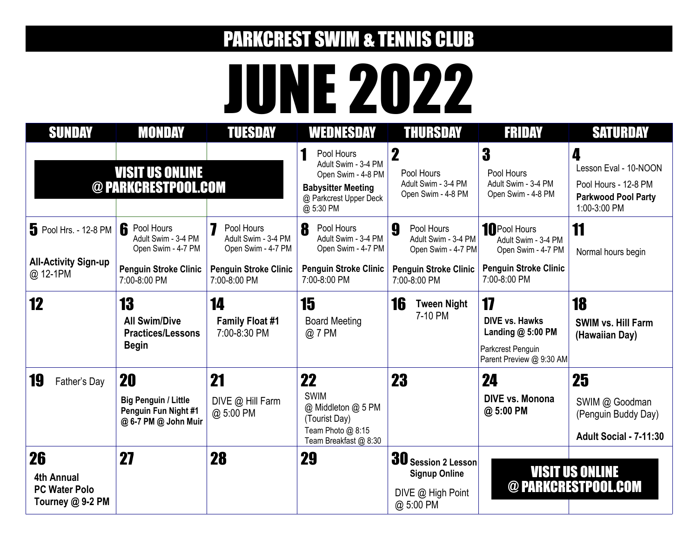# JUNE 2022

| <b>SUNDAY</b>                                                       | <b>MONDAY</b>                                                               | <b>TUESDAY</b>                                          | <b>WEDNESDAY</b>                                                                                                            | <b>THURSDAY</b>                                                                      | <b>FRIDAY</b>                                                                                     | <b>SATURDAY</b>                                                                                  |
|---------------------------------------------------------------------|-----------------------------------------------------------------------------|---------------------------------------------------------|-----------------------------------------------------------------------------------------------------------------------------|--------------------------------------------------------------------------------------|---------------------------------------------------------------------------------------------------|--------------------------------------------------------------------------------------------------|
|                                                                     | <b>VISIT US ONLINE</b><br>@ PARKCRESTPOOL.COM                               |                                                         | Pool Hours<br>Adult Swim - 3-4 PM<br>Open Swim - 4-8 PM<br><b>Babysitter Meeting</b><br>@ Parkcrest Upper Deck<br>@ 5:30 PM | $\mathbf 2$<br>Pool Hours<br>Adult Swim - 3-4 PM<br>Open Swim - 4-8 PM               | 3<br>Pool Hours<br>Adult Swim - 3-4 PM<br>Open Swim - 4-8 PM                                      | 4<br>Lesson Eval - 10-NOON<br>Pool Hours - 12-8 PM<br><b>Parkwood Pool Party</b><br>1:00-3:00 PM |
| $\overline{5}$ Pool Hrs. - 12-8 PM                                  | 6<br>Pool Hours<br>Adult Swim - 3-4 PM<br>Open Swim - 4-7 PM                | Pool Hours<br>Adult Swim - 3-4 PM<br>Open Swim - 4-7 PM | 8<br>Pool Hours<br>Adult Swim - 3-4 PM<br>Open Swim - 4-7 PM                                                                | 9<br>Pool Hours<br>Adult Swim - 3-4 PM<br>Open Swim - 4-7 PM                         | <b>10</b> Pool Hours<br>Adult Swim - 3-4 PM<br>Open Swim - 4-7 PM                                 | 11<br>Normal hours begin                                                                         |
| <b>All-Activity Sign-up</b><br>@ 12-1PM                             | <b>Penguin Stroke Clinic</b><br>7:00-8:00 PM                                | <b>Penguin Stroke Clinic</b><br>7:00-8:00 PM            | <b>Penguin Stroke Clinic</b><br>7:00-8:00 PM                                                                                | <b>Penguin Stroke Clinic</b><br>7:00-8:00 PM                                         | <b>Penguin Stroke Clinic</b><br>7:00-8:00 PM                                                      |                                                                                                  |
| 12                                                                  | 13<br><b>All Swim/Dive</b><br><b>Practices/Lessons</b><br><b>Begin</b>      | 14<br><b>Family Float #1</b><br>7:00-8:30 PM            | 15<br><b>Board Meeting</b><br>@ 7 PM                                                                                        | 16<br><b>Tween Night</b><br>7-10 PM                                                  | 17<br><b>DIVE vs. Hawks</b><br>Landing @ 5:00 PM<br>Parkcrest Penguin<br>Parent Preview @ 9:30 AM | 18<br><b>SWIM vs. Hill Farm</b><br>(Hawaiian Day)                                                |
| <b>19</b><br>Father's Day                                           | 20                                                                          | 21                                                      | 22                                                                                                                          | 23                                                                                   | 24                                                                                                | 25                                                                                               |
|                                                                     | <b>Big Penguin / Little</b><br>Penguin Fun Night #1<br>@ 6-7 PM @ John Muir | DIVE @ Hill Farm<br>@ 5:00 PM                           | <b>SWIM</b><br>@ Middleton @ 5 PM<br>(Tourist Day)<br>Team Photo @ 8:15<br>Team Breakfast @ 8:30                            |                                                                                      | <b>DIVE vs. Monona</b><br>@ 5:00 PM                                                               | SWIM @ Goodman<br>(Penguin Buddy Day)<br>Adult Social - 7-11:30                                  |
| 26<br><b>4th Annual</b><br><b>PC Water Polo</b><br>Tourney @ 9-2 PM | 27                                                                          | 28                                                      | 29                                                                                                                          | <b>30</b> Session 2 Lesson<br><b>Signup Online</b><br>DIVE @ High Point<br>@ 5:00 PM |                                                                                                   | <b>VISIT US ONLINE</b><br>@ PARKCRESTPOOL.COM                                                    |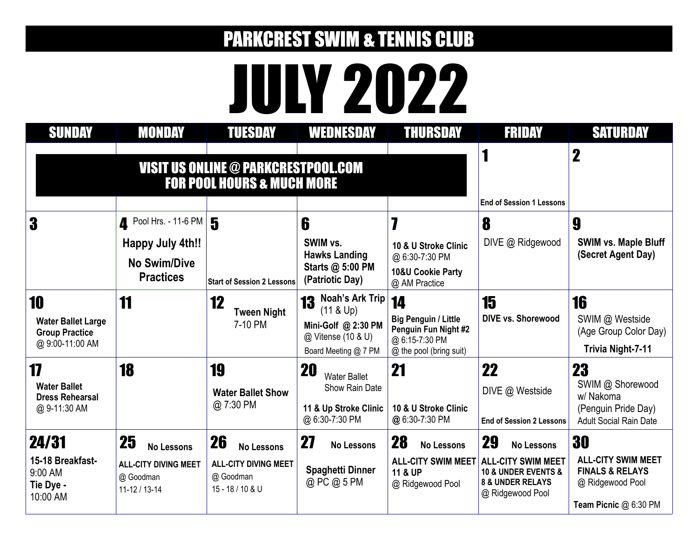## JULY 2022

| <b>SUNDAY</b>                                                                       | <b>MONDAY</b>                                                                                                    | <b>TUESDAY</b>                                                                          | <b>WEDNESDAY</b>                                                                                              | <b>THURSDAY</b>                                                                                        | <b>FRIDAY</b>                                                                                                                  | <b>SATURDAY</b>                                                                                            |
|-------------------------------------------------------------------------------------|------------------------------------------------------------------------------------------------------------------|-----------------------------------------------------------------------------------------|---------------------------------------------------------------------------------------------------------------|--------------------------------------------------------------------------------------------------------|--------------------------------------------------------------------------------------------------------------------------------|------------------------------------------------------------------------------------------------------------|
| <b>VISIT US ONLINE @ PARKCRESTPOOL.COM</b><br><b>FOR POOL HOURS &amp; MUCH MORE</b> |                                                                                                                  |                                                                                         |                                                                                                               |                                                                                                        | <b>End of Session 1 Lessons</b>                                                                                                | $\mathbf 2$                                                                                                |
| 3                                                                                   | $\overline{4}$ Pool Hrs. - 11-6 PM $\overline{5}$<br>Happy July 4th!!<br><b>No Swim/Dive</b><br><b>Practices</b> | <b>Start of Session 2 Lessons</b>                                                       | 6<br>SWIM vs.<br><b>Hawks Landing</b><br>Starts @ 5:00 PM<br>(Patriotic Day)                                  | 10 & U Stroke Clinic<br>@ 6:30-7:30 PM<br>10&U Cookie Party<br>@ AM Practice                           | 8<br>DIVE @ Ridgewood                                                                                                          | 9<br><b>SWIM vs. Maple Bluff</b><br>(Secret Agent Day)                                                     |
| 10<br><b>Water Ballet Large</b><br><b>Group Practice</b><br>@ 9:00-11:00 AM         | 11                                                                                                               | 12<br><b>Tween Night</b><br>7-10 PM                                                     | 13 Noah's Ark Trip<br>$(11 & \text{Up})$<br>Mini-Golf @ 2:30 PM<br>@ Vitense (10 & U)<br>Board Meeting @ 7 PM | 14<br><b>Big Penguin / Little</b><br>Penguin Fun Night #2<br>@ 6:15-7:30 PM<br>@ the pool (bring suit) | 15<br><b>DIVE vs. Shorewood</b>                                                                                                | 16<br>SWIM @ Westside<br>(Age Group Color Day)<br><b>Trivia Night-7-11</b>                                 |
| 17<br><b>Water Ballet</b><br><b>Dress Rehearsal</b><br>@ 9-11:30 AM                 | 18                                                                                                               | 19<br><b>Water Ballet Show</b><br>@ 7:30 PM                                             | 20<br><b>Water Ballet</b><br>Show Rain Date<br>11 & Up Stroke Clinic<br>@ 6:30-7:30 PM                        | 21<br>10 & U Stroke Clinic<br>@ 6:30-7:30 PM                                                           | 22<br>DIVE @ Westside<br><b>End of Session 2 Lessons</b>                                                                       | 23<br>SWIM @ Shorewood<br>w/ Nakoma<br>(Penguin Pride Day)<br><b>Adult Social Rain Date</b>                |
| 24/31<br>15-18 Breakfast-<br>9:00 AM<br>Tie Dye -<br>10:00 AM                       | 25<br><b>No Lessons</b><br><b>ALL-CITY DIVING MEET</b><br>@ Goodman<br>$11 - 12 / 13 - 14$                       | 26<br><b>No Lessons</b><br><b>ALL-CITY DIVING MEET</b><br>@ Goodman<br>15 - 18 / 10 & U | 27<br><b>No Lessons</b><br><b>Spaghetti Dinner</b><br>@ PC @ 5 PM                                             | 28<br><b>No Lessons</b><br><b>ALL-CITY SWIM MEET</b><br><b>11 &amp; UP</b><br>@ Ridgewood Pool         | 29<br><b>No Lessons</b><br><b>ALL-CITY SWIM MEET</b><br>10 & UNDER EVENTS &<br><b>8 &amp; UNDER RELAYS</b><br>@ Ridgewood Pool | 30<br><b>ALL-CITY SWIM MEET</b><br><b>FINALS &amp; RELAYS</b><br>@ Ridgewood Pool<br>Team Picnic @ 6:30 PM |